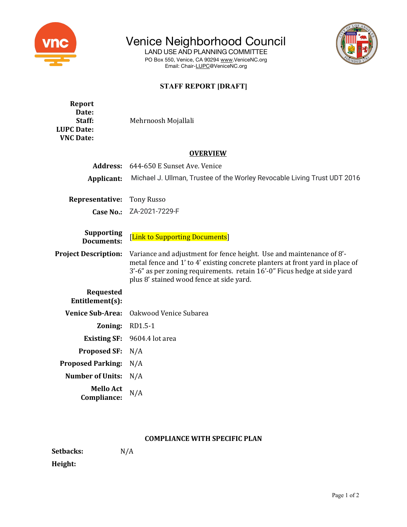

Venice Neighborhood Council

LAND USE AND PLANNING COMMITTEE PO Box 550, Venice, CA 90294 www.VeniceNC.org Email: Chair-LUPC@VeniceNC.org



## **STAFF REPORT [DRAFT]**

| Report<br>Date:<br>Staff:<br><b>LUPC Date:</b><br><b>VNC Date:</b> | Mehrnoosh Mojallali                                                                                                                                                                                                                                                           |  |
|--------------------------------------------------------------------|-------------------------------------------------------------------------------------------------------------------------------------------------------------------------------------------------------------------------------------------------------------------------------|--|
| <b>OVERVIEW</b>                                                    |                                                                                                                                                                                                                                                                               |  |
| <b>Address:</b>                                                    | 644-650 E Sunset Ave. Venice                                                                                                                                                                                                                                                  |  |
| Applicant:                                                         | Michael J. Ullman, Trustee of the Worley Revocable Living Trust UDT 2016                                                                                                                                                                                                      |  |
| Representative:                                                    | <b>Tony Russo</b>                                                                                                                                                                                                                                                             |  |
| Case No.:                                                          | ZA-2021-7229-F                                                                                                                                                                                                                                                                |  |
| <b>Supporting</b><br><b>Documents:</b>                             | [Link to Supporting Documents]                                                                                                                                                                                                                                                |  |
| <b>Project Description:</b>                                        | Variance and adjustment for fence height. Use and maintenance of 8'-<br>metal fence and 1' to 4' existing concrete planters at front yard in place of<br>3'-6" as per zoning requirements. retain 16'-0" Ficus hedge at side yard<br>plus 8' stained wood fence at side yard. |  |
| <b>Requested</b><br>Entitlement(s):                                |                                                                                                                                                                                                                                                                               |  |
| <b>Venice Sub-Area:</b>                                            | Oakwood Venice Subarea                                                                                                                                                                                                                                                        |  |
| Zoning:                                                            | RD1.5-1                                                                                                                                                                                                                                                                       |  |
| <b>Existing SF:</b>                                                | 9604.4 lot area                                                                                                                                                                                                                                                               |  |
| <b>Proposed SF:</b>                                                | N/A                                                                                                                                                                                                                                                                           |  |
| <b>Proposed Parking:</b>                                           | N/A                                                                                                                                                                                                                                                                           |  |
| <b>Number of Units:</b>                                            | N/A                                                                                                                                                                                                                                                                           |  |
| <b>Mello Act</b><br>Compliance:                                    | N/A                                                                                                                                                                                                                                                                           |  |

## **COMPLIANCE WITH SPECIFIC PLAN**

Setbacks: N/A

**Height:**